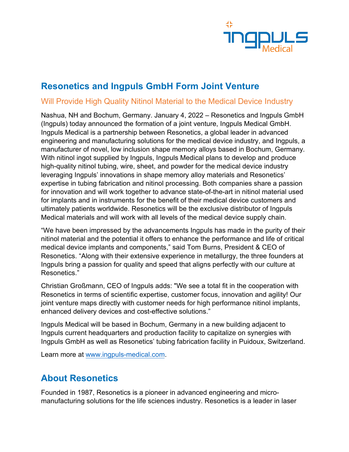

# **Resonetics and Ingpuls GmbH Form Joint Venture**

#### Will Provide High Quality Nitinol Material to the Medical Device Industry

Nashua, NH and Bochum, Germany. January 4, 2022 – Resonetics and Ingpuls GmbH (Ingpuls) today announced the formation of a joint venture, Ingpuls Medical GmbH. Ingpuls Medical is a partnership between Resonetics, a global leader in advanced engineering and manufacturing solutions for the medical device industry, and Ingpuls, a manufacturer of novel, low inclusion shape memory alloys based in Bochum, Germany. With nitinol ingot supplied by Ingpuls, Ingpuls Medical plans to develop and produce high-quality nitinol tubing, wire, sheet, and powder for the medical device industry leveraging Ingpuls' innovations in shape memory alloy materials and Resonetics' expertise in tubing fabrication and nitinol processing. Both companies share a passion for innovation and will work together to advance state-of-the-art in nitinol material used for implants and in instruments for the benefit of their medical device customers and ultimately patients worldwide. Resonetics will be the exclusive distributor of Ingpuls Medical materials and will work with all levels of the medical device supply chain.

"We have been impressed by the advancements Ingpuls has made in the purity of their nitinol material and the potential it offers to enhance the performance and life of critical medical device implants and components," said Tom Burns, President & CEO of Resonetics. "Along with their extensive experience in metallurgy, the three founders at Ingpuls bring a passion for quality and speed that aligns perfectly with our culture at Resonetics."

Christian Großmann, CEO of Ingpuls adds: "We see a total fit in the cooperation with Resonetics in terms of scientific expertise, customer focus, innovation and agility! Our joint venture maps directly with customer needs for high performance nitinol implants, enhanced delivery devices and cost-effective solutions."

Ingpuls Medical will be based in Bochum, Germany in a new building adjacent to Ingpuls current headquarters and production facility to capitalize on synergies with Ingpuls GmbH as well as Resonetics' tubing fabrication facility in Puidoux, Switzerland.

Learn more at [www.ingpuls-medical.com.](http://www.ingpuls-medical.com/)

### **About Resonetics**

Founded in 1987, Resonetics is a pioneer in advanced engineering and micromanufacturing solutions for the life sciences industry. Resonetics is a leader in laser